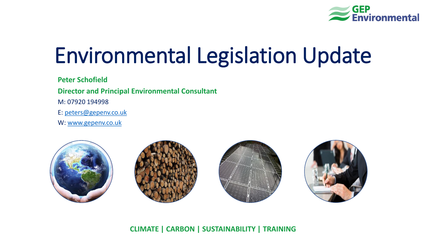

# Environmental Legislation Update

**Peter Schofield**

**Director and Principal Environmental Consultant**

M: 07920 194998

E: [peters@gepenv.co.uk](mailto:peters@gepenv.co.uk)

W: [www.gepenv.co.uk](http://www.gepenv.co.uk/)



#### **CLIMATE | CARBON | SUSTAINABILITY | TRAINING**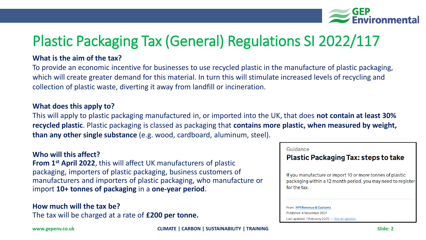

# Plastic Packaging Tax (General) Regulations SI 2022/117

#### **What is the aim of the tax?**

To provide an economic incentive for businesses to use recycled plastic in the manufacture of plastic packaging, which will create greater demand for this material. In turn this will stimulate increased levels of recycling and collection of plastic waste, diverting it away from landfill or incineration.

#### **What does this apply to?**

This will apply to plastic packaging manufactured in, or imported into the UK, that does **not contain at least 30% recycled plastic**. Plastic packaging is classed as packaging that **contains more plastic, when measured by weight, than any other single substance** (e.g. wood, cardboard, aluminum, steel).

#### **Who will this affect?**

**From 1st April 2022**, this will affect UK manufacturers of plastic packaging, importers of plastic packaging, business customers of manufacturers and importers of plastic packaging, who manufacture or import **10+ tonnes of packaging** in a **one-year period**.

### **How much will the tax be?**

The tax will be charged at a rate of **£200 per tonne.**

#### Guidance

#### **Plastic Packaging Tax: steps to take**

If you manufacture or import 10 or more tonnes of plastic packaging within a 12 month period, you may need to register for the tax.

#### From: HM Revenue & Customs Published 4 November 2021 Last updated 7 February 2022 - See all updates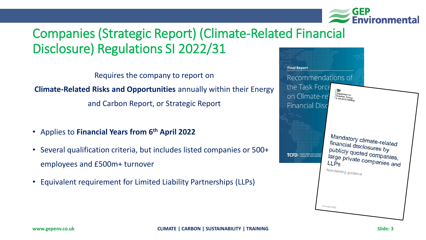

### Companies (Strategic Report) (Climate-Related Financial Disclosure) Regulations SI 2022/31

Requires the company to report on

**Climate-Related Risks and Opportunities** annually within their Energy

and Carbon Report, or Strategic Report

- Applies to **Financial Years from 6th April 2022**
- Several qualification criteria, but includes listed companies or 500+ employees and £500m+ turnover
- Equivalent requirement for Limited Liability Partnerships (LLPs)

| <b>Final Report</b>                                                                                                                                                                                                                                       |  |
|-----------------------------------------------------------------------------------------------------------------------------------------------------------------------------------------------------------------------------------------------------------|--|
| Recommendations of<br>the Task Force<br>戀<br>Department for<br>on Climate-rel<br>Business, Energy<br>& Industrial Strategy                                                                                                                                |  |
| <b>Financial Disc</b><br>Mandatory climate-related<br>financial disclosures by<br>publicly quoted companies,<br><b>TASK FORCE ON CLIMATE<br/>FINANCIAL DISCLOSURES</b><br>TCFT<br>large private companies and<br>LLP <sub>S</sub><br>Non-binding guidance |  |
| February 2022                                                                                                                                                                                                                                             |  |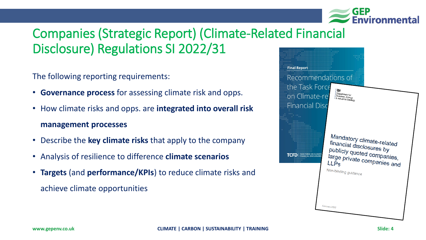

### Companies (Strategic Report) (Climate-Related Financial Disclosure) Regulations SI 2022/31

The following reporting requirements:

- **Governance process** for assessing climate risk and opps.
- How climate risks and opps. are **integrated into overall risk management processes**
- Describe the **key climate risks** that apply to the company
- Analysis of resilience to difference **climate scenarios**
- **Targets** (and **performance/KPIs**) to reduce climate risks and achieve climate opportunities

| <b>Final Report</b><br>Recommendations of<br>the Task Force<br>on Climate-rel<br><b>Financial Disc</b> | 瀬<br>Department for<br>Business, Energy<br>& Industrial Strategy                                                                                                                      |  |
|--------------------------------------------------------------------------------------------------------|---------------------------------------------------------------------------------------------------------------------------------------------------------------------------------------|--|
| <b>TASK FORCE ON CLIMATE</b><br>TCFD<br><b>FINANCIAL DISCLOSURES</b>                                   | Mandatory climate-related<br>financial disclosures by<br>publicly quoted companies,<br>large private companies and<br><b>LLP<sub>S</sub></b><br>Non-binding guidance<br>February 2022 |  |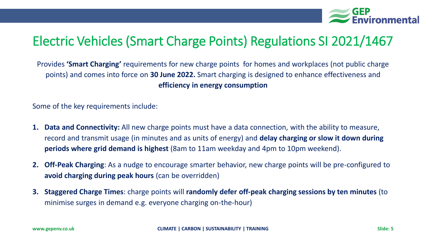

### Electric Vehicles (Smart Charge Points) Regulations SI 2021/1467

Provides **'Smart Charging'** requirements for new charge points for homes and workplaces (not public charge points) and comes into force on **30 June 2022.** Smart charging is designed to enhance effectiveness and **efficiency in energy consumption**

Some of the key requirements include:

- **1. Data and Connectivity:** All new charge points must have a data connection, with the ability to measure, record and transmit usage (in minutes and as units of energy) and **delay charging or slow it down during periods where grid demand is highest** (8am to 11am weekday and 4pm to 10pm weekend).
- **2. Off-Peak Charging**: As a nudge to encourage smarter behavior, new charge points will be pre-configured to **avoid charging during peak hours** (can be overridden)
- **3. Staggered Charge Times**: charge points will **randomly defer off-peak charging sessions by ten minutes** (to minimise surges in demand e.g. everyone charging on-the-hour)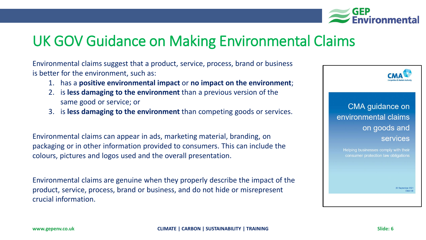

# UK GOV Guidance on Making Environmental Claims

Environmental claims suggest that a product, service, process, brand or business is better for the environment, such as:

- 1. has a **positive environmental impact** or **no impact on the environment**;
- 2. is **less damaging to the environment** than a previous version of the same good or service; or
- 3. is **less damaging to the environment** than competing goods or services.

Environmental claims can appear in ads, marketing material, branding, on packaging or in other information provided to consumers. This can include the colours, pictures and logos used and the overall presentation.

Environmental claims are genuine when they properly describe the impact of the product, service, process, brand or business, and do not hide or misrepresent crucial information.

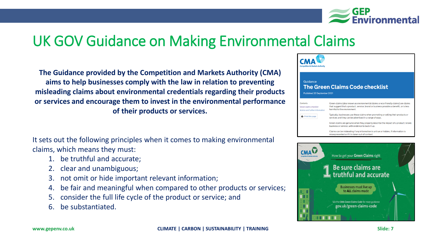

# UK GOV Guidance on Making Environmental Claims

**The Guidance provided by the Competition and Markets Authority (CMA) aims to help businesses comply with the law in relation to preventing misleading claims about environmental credentials regarding their products or services and encourage them to invest in the environmental performance of their products or services.**

It sets out the following principles when it comes to making environmental claims, which means they must:

- 1. be truthful and accurate;
- 2. clear and unambiguous;
- not omit or hide important relevant information;
- 4. be fair and meaningful when compared to other products or services;
- 5. consider the full life cycle of the product or service; and
- 6. be substantiated.



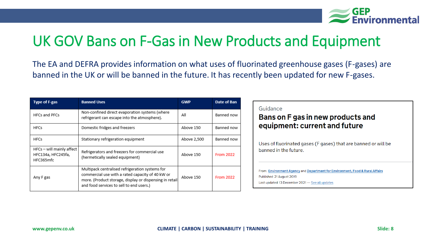

# UK GOV Bans on F-Gas in New Products and Equipment

The EA and DEFRA provides information on what uses of fluorinated greenhouse gases (F-gases) are banned in the UK or will be banned in the future. It has recently been updated for new F-gases.

| <b>Type of F-gas</b>                                         | <b>Banned Uses</b>                                                                                                                                                                                         | <b>GWP</b>  | Date of Ban      |
|--------------------------------------------------------------|------------------------------------------------------------------------------------------------------------------------------------------------------------------------------------------------------------|-------------|------------------|
| <b>HFCs and PFCs</b>                                         | Non-confined direct evaporation systems (where<br>refrigerant can escape into the atmosphere).                                                                                                             | All         | Banned now       |
| <b>HFCs</b>                                                  | Domestic fridges and freezers                                                                                                                                                                              | Above 150   | Banned now       |
| <b>HFCs</b>                                                  | Stationary refrigeration equipment                                                                                                                                                                         | Above 2,500 | Banned now       |
| HFCs - will mainly affect<br>HFC134a, HFC245fa,<br>HFC365mfc | Refrigerators and freezers for commercial use<br>(hermetically sealed equipment)                                                                                                                           | Above 150   | <b>From 2022</b> |
| Any F gas                                                    | Multipack centralised refrigeration systems for<br>commercial use with a rated capacity of 40 kW or<br>more. (Product storage, display or dispensing in retail<br>and food services to sell to end users.) | Above 150   | <b>From 2022</b> |

#### Guidance

#### Bans on F gas in new products and equipment: current and future

Uses of fluorinated gases (F gases) that are banned or will be banned in the future.

From: Environment Agency and Department for Environment, Food & Rural Affairs Published 21 August 2019 Last updated 13 December 2021 - See all updates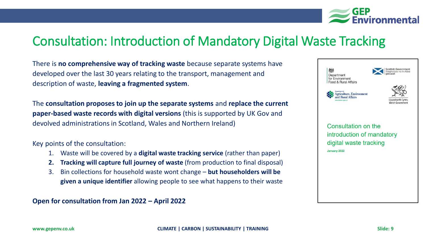

### Consultation: Introduction of Mandatory Digital Waste Tracking

There is **no comprehensive way of tracking waste** because separate systems have developed over the last 30 years relating to the transport, management and description of waste, **leaving a fragmented system**.

The **consultation proposes to join up the separate systems** and **replace the current paper-based waste records with digital versions** (this is supported by UK Gov and devolved administrations in Scotland, Wales and Northern Ireland)

Key points of the consultation:

- 1. Waste will be covered by a **digital waste tracking service** (rather than paper)
- **2. Tracking will capture full journey of waste** (from production to final disposal)
- 3. Bin collections for household waste wont change **but householders will be given a unique identifier** allowing people to see what happens to their waste

**Open for consultation from Jan 2022 – April 2022** 

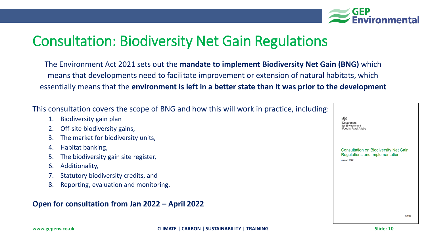

### Consultation: Biodiversity Net Gain Regulations

The Environment Act 2021 sets out the **mandate to implement Biodiversity Net Gain (BNG)** which means that developments need to facilitate improvement or extension of natural habitats, which essentially means that the **environment is left in a better state than it was prior to the development**

This consultation covers the scope of BNG and how this will work in pract

- 1. Biodiversity gain plan
- Off-site biodiversity gains,
- 3. The market for biodiversity units,
- 4. Habitat banking,
- 5. The biodiversity gain site register,
- 6. Additionality,
- 7. Statutory biodiversity credits, and
- 8. Reporting, evaluation and monitoring.

### **Open for consultation from Jan 2022 – April 2022**

| tice, including: |                                                                                                |
|------------------|------------------------------------------------------------------------------------------------|
|                  | 燃<br>Department<br>for Environment<br>Food & Rural Affairs                                     |
|                  | <b>Consultation on Biodiversity Net Gain</b><br>Regulations and Implementation<br>January 2022 |
|                  |                                                                                                |
|                  | 1 of 109                                                                                       |